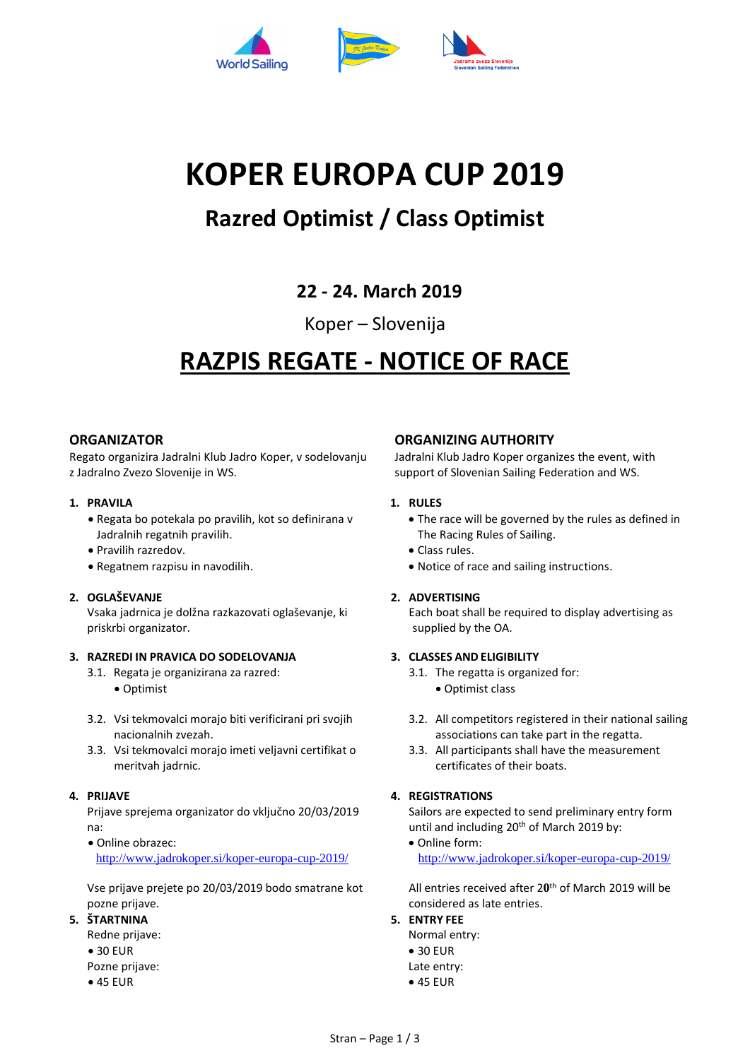

# **KOPER EUROPA CUP 2019**

## **Razred Optimist / Class Optimist**

### **22 - 24. March 2019**

### Koper – Slovenija

## **RAZPIS REGATE - NOTICE OF RACE**

#### **ORGANIZATOR**

Regato organizira Jadralni Klub Jadro Koper, v sodelovanju z Jadralno Zvezo Slovenije in WS.

#### **1. PRAVILA**

- Regata bo potekala po pravilih, kot so definirana v Jadralnih regatnih pravilih.
- Pravilih razredov.
- Regatnem razpisu in navodilih.

#### **2. OGLAŠEVANJE**

Vsaka jadrnica je dolžna razkazovati oglaševanje, ki priskrbi organizator.

#### **3. RAZREDI IN PRAVICA DO SODELOVANJA**

- 3.1. Regata je organizirana za razred:
	- Optimist
- 3.2. Vsi tekmovalci morajo biti verificirani pri svojih nacionalnih zvezah.
- 3.3. Vsi tekmovalci morajo imeti veljavni certifikat o meritvah jadrnic.

#### **4. PRIJAVE**

Prijave sprejema organizator do vključno 20/03/2019 na:

• Online obrazec: <http://www.jadrokoper.si/koper-europa-cup-2019/>

Vse prijave prejete po 20/03/2019 bodo smatrane kot pozne prijave.

- **5. ŠTARTNINA**
	- Redne prijave: • 30 EUR
	- Pozne prijave:
	- 45 EUR

#### **ORGANIZING AUTHORITY**

Jadralni Klub Jadro Koper organizes the event, with support of Slovenian Sailing Federation and WS.

#### **1. RULES**

- The race will be governed by the rules as defined in The Racing Rules of Sailing.
- Class rules.
- Notice of race and sailing instructions.

#### **2. ADVERTISING**

Each boat shall be required to display advertising as supplied by the OA.

#### **3. CLASSES AND ELIGIBILITY**

- 3.1. The regatta is organized for:
	- Optimist class
- 3.2. All competitors registered in their national sailing associations can take part in the regatta.
- 3.3. All participants shall have the measurement certificates of their boats.

#### **4. REGISTRATIONS**

Sailors are expected to send preliminary entry form until and including 20th of March 2019 by:

• Online form: <http://www.jadrokoper.si/koper-europa-cup-2019/>

All entries received after 20<sup>th</sup> of March 2019 will be considered as late entries.

**5. ENTRY FEE**

Normal entry: • 30 EUR Late entry: • 45 EUR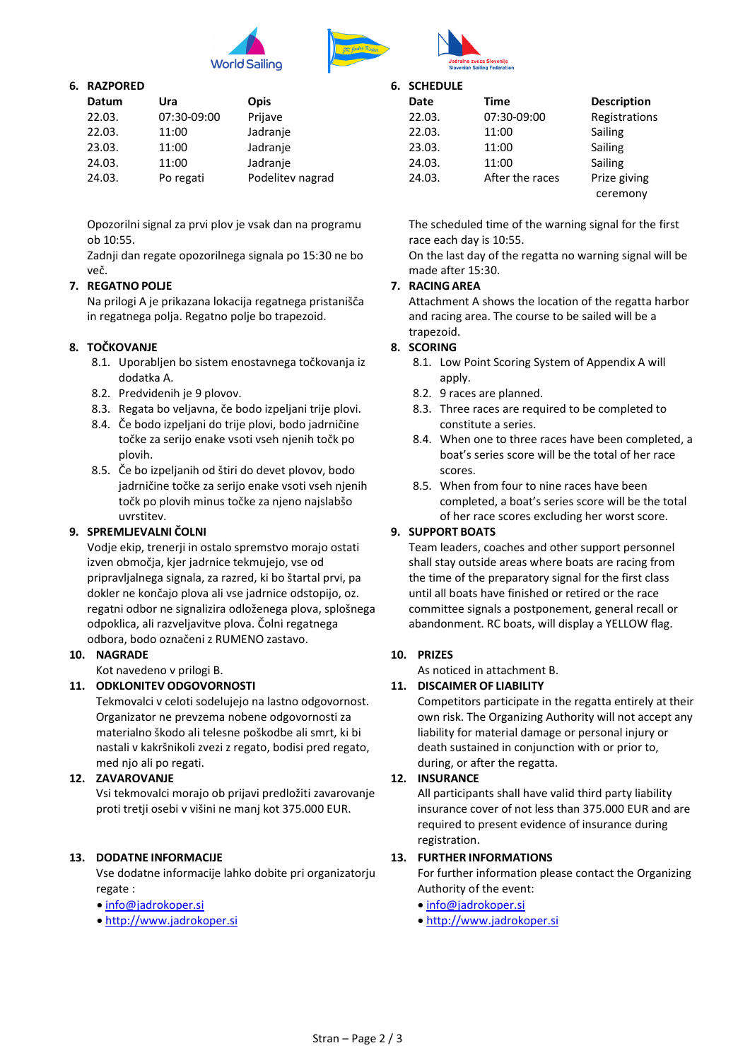



#### **6. RAZPORED**

| Datum  | Ura         | <b>Opis</b>      |
|--------|-------------|------------------|
| 22.03. | 07:30-09:00 | Prijave          |
| 22.03. | 11:00       | Jadranje         |
| 23.03. | 11:00       | Jadranje         |
| 24.03. | 11:00       | Jadranje         |
| 24.03. | Po regati   | Podelitev nagrad |

Opozorilni signal za prvi plov je vsak dan na programu ob 10:55.

Zadnji dan regate opozorilnega signala po 15:30 ne bo več.

#### **7. REGATNO POLJE**

Na prilogi A je prikazana lokacija regatnega pristanišča in regatnega polja. Regatno polje bo trapezoid.

#### **8. TOČKOVANJE**

- 8.1. Uporabljen bo sistem enostavnega točkovanja iz dodatka A.
- 8.2. Predvidenih je 9 plovov.
- 8.3. Regata bo veljavna, če bodo izpeljani trije plovi.
- 8.4. Če bodo izpeljani do trije plovi, bodo jadrničine točke za serijo enake vsoti vseh njenih točk po plovih.
- 8.5. Če bo izpeljanih od štiri do devet plovov, bodo jadrničine točke za serijo enake vsoti vseh njenih točk po plovih minus točke za njeno najslabšo uvrstitev.

#### **9. SPREMLJEVALNI ČOLNI**

Vodje ekip, trenerji in ostalo spremstvo morajo ostati izven območja, kjer jadrnice tekmujejo, vse od pripravljalnega signala, za razred, ki bo štartal prvi, pa dokler ne končajo plova ali vse jadrnice odstopijo, oz. regatni odbor ne signalizira odloženega plova, splošnega odpoklica, ali razveljavitve plova. Čolni regatnega odbora, bodo označeni z RUMENO zastavo.

#### **10. NAGRADE**

Kot navedeno v prilogi B.

#### **11. ODKLONITEV ODGOVORNOSTI**

Tekmovalci v celoti sodelujejo na lastno odgovornost. Organizator ne prevzema nobene odgovornosti za materialno škodo ali telesne poškodbe ali smrt, ki bi nastali v kakršnikoli zvezi z regato, bodisi pred regato, med njo ali po regati.

#### **12. ZAVAROVANJE**

Vsi tekmovalci morajo ob prijavi predložiti zavarovanje proti tretji osebi v višini ne manj kot 375.000 EUR.

#### **13. DODATNE INFORMACIJE**

Vse dodatne informacije lahko dobite pri organizatorju regate :

- [info@jadrokoper.si](mailto:info@jadrokoper.si)
- [http://www.jadrokoper.si](http://www.jadrokoper.si/)

#### **6. SCHEDULE**

| Date   | <b>Time</b>     | <b>Description</b> |
|--------|-----------------|--------------------|
| 22.03. | 07:30-09:00     | Registrations      |
| 22.03. | 11:00           | Sailing            |
| 23.03. | 11:00           | Sailing            |
| 24.03. | 11:00           | Sailing            |
| 24.03. | After the races | Prize giving       |
|        |                 | ceremony           |

The scheduled time of the warning signal for the first race each day is 10:55.

On the last day of the regatta no warning signal will be made after 15:30.

#### **7. RACING AREA**

Attachment A shows the location of the regatta harbor and racing area. The course to be sailed will be a trapezoid.

#### **8. SCORING**

- 8.1. Low Point Scoring System of Appendix A will apply.
- 8.2. 9 races are planned.
- 8.3. Three races are required to be completed to constitute a series.
- 8.4. When one to three races have been completed, a boat's series score will be the total of her race scores.
- 8.5. When from four to nine races have been completed, a boat's series score will be the total of her race scores excluding her worst score.

#### **9. SUPPORT BOATS**

Team leaders, coaches and other support personnel shall stay outside areas where boats are racing from the time of the preparatory signal for the first class until all boats have finished or retired or the race committee signals a postponement, general recall or abandonment. RC boats, will display a YELLOW flag.

#### **10. PRIZES**

As noticed in attachment B.

#### **11. DISCAIMER OF LIABILITY**

Competitors participate in the regatta entirely at their own risk. The Organizing Authority will not accept any liability for material damage or personal injury or death sustained in conjunction with or prior to, during, or after the regatta.

#### **12. INSURANCE**

All participants shall have valid third party liability insurance cover of not less than 375.000 EUR and are required to present evidence of insurance during registration.

#### **13. FURTHER INFORMATIONS**

For further information please contact the Organizing Authority of the event:

- [info@jadrokoper.si](mailto:info@jadrokoper.si)
- [http://www.jadrokoper.si](http://www.jadrokoper.si/)